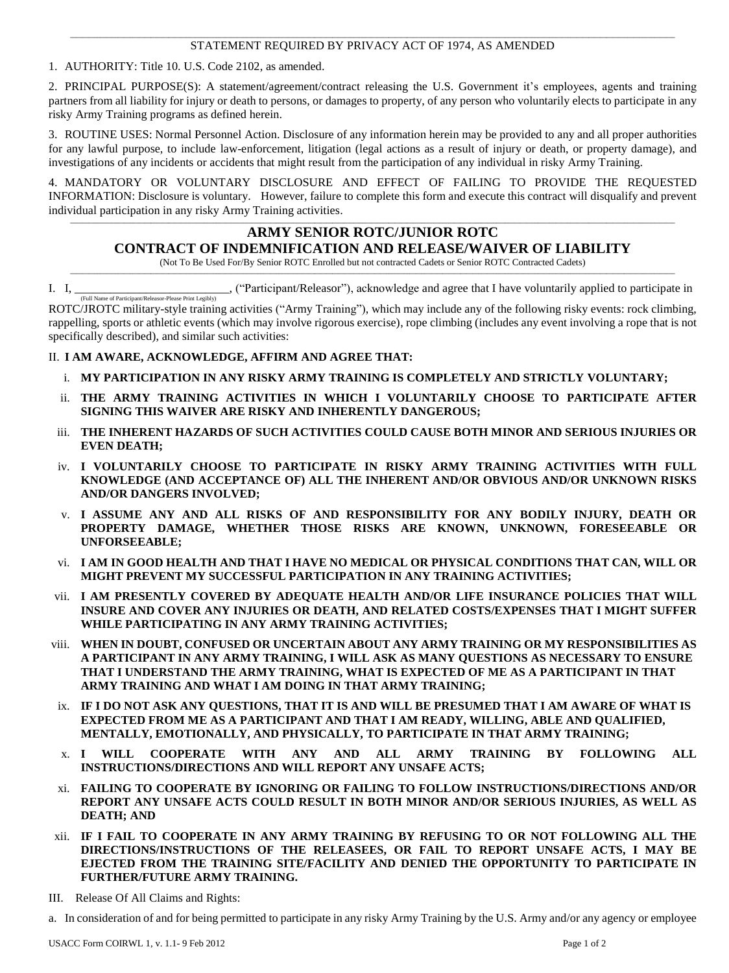### **\_\_\_\_\_\_\_\_\_\_\_\_\_\_\_\_\_\_\_\_\_\_\_\_\_\_\_\_\_\_\_\_\_\_\_\_\_\_\_\_\_\_\_\_\_\_\_\_\_\_\_\_\_\_\_\_\_\_\_\_\_\_\_\_\_\_\_\_\_\_\_\_\_\_\_\_\_\_\_\_\_\_\_\_\_\_\_\_\_\_\_\_\_\_\_\_\_\_\_\_\_\_\_\_\_\_\_\_\_\_\_\_\_\_\_\_\_\_\_\_\_\_\_\_\_\_\_\_\_\_\_\_\_\_\_\_\_\_\_\_\_\_\_\_\_\_\_\_\_\_\_\_\_\_\_\_\_\_\_\_\_\_\_\_\_\_\_\_\_\_\_\_\_\_\_\_\_\_\_\_\_\_\_\_\_\_\_\_\_\_\_\_\_\_\_\_\_\_\_\_\_\_\_** STATEMENT REQUIRED BY PRIVACY ACT OF 1974, AS AMENDED

1. AUTHORITY: Title 10. U.S. Code 2102, as amended.

2. PRINCIPAL PURPOSE(S): A statement/agreement/contract releasing the U.S. Government it's employees, agents and training partners from all liability for injury or death to persons, or damages to property, of any person who voluntarily elects to participate in any risky Army Training programs as defined herein.

3. ROUTINE USES: Normal Personnel Action. Disclosure of any information herein may be provided to any and all proper authorities for any lawful purpose, to include law-enforcement, litigation (legal actions as a result of injury or death, or property damage), and investigations of any incidents or accidents that might result from the participation of any individual in risky Army Training.

4. MANDATORY OR VOLUNTARY DISCLOSURE AND EFFECT OF FAILING TO PROVIDE THE REQUESTED INFORMATION: Disclosure is voluntary. However, failure to complete this form and execute this contract will disqualify and prevent individual participation in any risky Army Training activities.

**\_\_\_\_\_\_\_\_\_\_\_\_\_\_\_\_\_\_\_\_\_\_\_\_\_\_\_\_\_\_\_\_\_\_\_\_\_\_\_\_\_\_\_\_\_\_\_\_\_\_\_\_\_\_\_\_\_\_\_\_\_\_\_\_\_\_\_\_\_\_\_\_\_\_\_\_\_\_\_\_\_\_\_\_\_\_\_\_\_\_\_\_\_\_\_\_\_\_\_\_\_\_\_\_\_\_\_\_\_\_\_\_\_\_\_\_\_\_\_\_\_\_\_\_\_\_\_\_\_\_\_\_\_\_\_\_\_\_\_\_\_\_\_\_\_\_\_\_\_\_\_\_\_\_\_\_\_\_\_\_\_\_\_\_\_\_\_\_\_\_\_\_\_\_\_\_\_\_\_\_\_\_\_\_\_\_\_\_\_\_\_\_\_\_\_\_\_\_\_\_\_\_\_**

# **ARMY SENIOR ROTC/JUNIOR ROTC**

**CONTRACT OF INDEMNIFICATION AND RELEASE/WAIVER OF LIABILITY**

(Not To Be Used For/By Senior ROTC Enrolled but not contracted Cadets or Senior ROTC Contracted Cadets) **\_\_\_\_\_\_\_\_\_\_\_\_\_\_\_\_\_\_\_\_\_\_\_\_\_\_\_\_\_\_\_\_\_\_\_\_\_\_\_\_\_\_\_\_\_\_\_\_\_\_\_\_\_\_\_\_\_\_\_\_\_\_\_\_\_\_\_\_\_\_\_\_\_\_\_\_\_\_\_\_\_\_\_\_\_\_\_\_\_\_\_\_\_\_\_\_\_\_\_\_\_\_\_\_\_\_\_\_\_\_\_\_\_\_\_\_\_\_\_\_\_\_\_\_\_\_\_\_\_\_\_\_\_\_\_\_\_\_\_\_\_\_\_\_\_\_\_\_\_\_\_\_\_\_\_\_\_\_\_\_\_\_\_\_\_\_\_\_\_\_\_\_\_\_\_\_\_\_\_\_\_\_\_\_\_\_\_\_\_\_\_\_\_\_\_\_\_\_\_\_\_\_\_**

I. I, \_\_\_\_\_\_\_\_\_\_\_\_\_\_\_\_\_\_\_\_\_\_\_\_\_\_, ("Participant/Releasor"), acknowledge and agree that I have voluntarily applied to participate in (Full Name of Participant/Releasor-Please Print Legibly)

ROTC/JROTC military-style training activities ("Army Training"), which may include any of the following risky events: rock climbing, rappelling, sports or athletic events (which may involve rigorous exercise), rope climbing (includes any event involving a rope that is not specifically described), and similar such activities:

## II. **I AM AWARE, ACKNOWLEDGE, AFFIRM AND AGREE THAT:**

- i. **MY PARTICIPATION IN ANY RISKY ARMY TRAINING IS COMPLETELY AND STRICTLY VOLUNTARY;**
- ii. **THE ARMY TRAINING ACTIVITIES IN WHICH I VOLUNTARILY CHOOSE TO PARTICIPATE AFTER SIGNING THIS WAIVER ARE RISKY AND INHERENTLY DANGEROUS;**
- iii. **THE INHERENT HAZARDS OF SUCH ACTIVITIES COULD CAUSE BOTH MINOR AND SERIOUS INJURIES OR EVEN DEATH;**
- iv. **I VOLUNTARILY CHOOSE TO PARTICIPATE IN RISKY ARMY TRAINING ACTIVITIES WITH FULL KNOWLEDGE (AND ACCEPTANCE OF) ALL THE INHERENT AND/OR OBVIOUS AND/OR UNKNOWN RISKS AND/OR DANGERS INVOLVED;**
- v. **I ASSUME ANY AND ALL RISKS OF AND RESPONSIBILITY FOR ANY BODILY INJURY, DEATH OR PROPERTY DAMAGE, WHETHER THOSE RISKS ARE KNOWN, UNKNOWN, FORESEEABLE OR UNFORSEEABLE;**
- vi. **I AM IN GOOD HEALTH AND THAT I HAVE NO MEDICAL OR PHYSICAL CONDITIONS THAT CAN, WILL OR MIGHT PREVENT MY SUCCESSFUL PARTICIPATION IN ANY TRAINING ACTIVITIES;**
- vii. **I AM PRESENTLY COVERED BY ADEQUATE HEALTH AND/OR LIFE INSURANCE POLICIES THAT WILL INSURE AND COVER ANY INJURIES OR DEATH, AND RELATED COSTS/EXPENSES THAT I MIGHT SUFFER WHILE PARTICIPATING IN ANY ARMY TRAINING ACTIVITIES;**
- viii. **WHEN IN DOUBT, CONFUSED OR UNCERTAIN ABOUT ANY ARMY TRAINING OR MY RESPONSIBILITIES AS A PARTICIPANT IN ANY ARMY TRAINING, I WILL ASK AS MANY QUESTIONS AS NECESSARY TO ENSURE THAT I UNDERSTAND THE ARMY TRAINING, WHAT IS EXPECTED OF ME AS A PARTICIPANT IN THAT ARMY TRAINING AND WHAT I AM DOING IN THAT ARMY TRAINING;**
- ix. **IF I DO NOT ASK ANY QUESTIONS, THAT IT IS AND WILL BE PRESUMED THAT I AM AWARE OF WHAT IS EXPECTED FROM ME AS A PARTICIPANT AND THAT I AM READY, WILLING, ABLE AND QUALIFIED, MENTALLY, EMOTIONALLY, AND PHYSICALLY, TO PARTICIPATE IN THAT ARMY TRAINING;**
- x. **I WILL COOPERATE WITH ANY AND ALL ARMY TRAINING BY FOLLOWING ALL INSTRUCTIONS/DIRECTIONS AND WILL REPORT ANY UNSAFE ACTS;**
- xi. **FAILING TO COOPERATE BY IGNORING OR FAILING TO FOLLOW INSTRUCTIONS/DIRECTIONS AND/OR REPORT ANY UNSAFE ACTS COULD RESULT IN BOTH MINOR AND/OR SERIOUS INJURIES, AS WELL AS DEATH; AND**
- xii. **IF I FAIL TO COOPERATE IN ANY ARMY TRAINING BY REFUSING TO OR NOT FOLLOWING ALL THE DIRECTIONS/INSTRUCTIONS OF THE RELEASEES, OR FAIL TO REPORT UNSAFE ACTS, I MAY BE EJECTED FROM THE TRAINING SITE/FACILITY AND DENIED THE OPPORTUNITY TO PARTICIPATE IN FURTHER/FUTURE ARMY TRAINING.**
- III. Release Of All Claims and Rights:

a. In consideration of and for being permitted to participate in any risky Army Training by the U.S. Army and/or any agency or employee